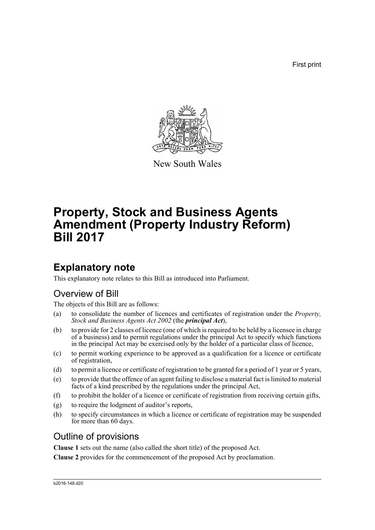First print



New South Wales

# **Property, Stock and Business Agents Amendment (Property Industry Reform) Bill 2017**

## **Explanatory note**

This explanatory note relates to this Bill as introduced into Parliament.

## Overview of Bill

The objects of this Bill are as follows:

- (a) to consolidate the number of licences and certificates of registration under the *Property, Stock and Business Agents Act 2002* (the *principal Act*),
- (b) to provide for 2 classes of licence (one of which is required to be held by a licensee in charge of a business) and to permit regulations under the principal Act to specify which functions in the principal Act may be exercised only by the holder of a particular class of licence,
- (c) to permit working experience to be approved as a qualification for a licence or certificate of registration,
- (d) to permit a licence or certificate of registration to be granted for a period of 1 year or 5 years,
- (e) to provide that the offence of an agent failing to disclose a material fact is limited to material facts of a kind prescribed by the regulations under the principal Act,
- (f) to prohibit the holder of a licence or certificate of registration from receiving certain gifts,
- (g) to require the lodgment of auditor's reports,
- (h) to specify circumstances in which a licence or certificate of registration may be suspended for more than 60 days.

## Outline of provisions

**Clause 1** sets out the name (also called the short title) of the proposed Act.

**Clause 2** provides for the commencement of the proposed Act by proclamation.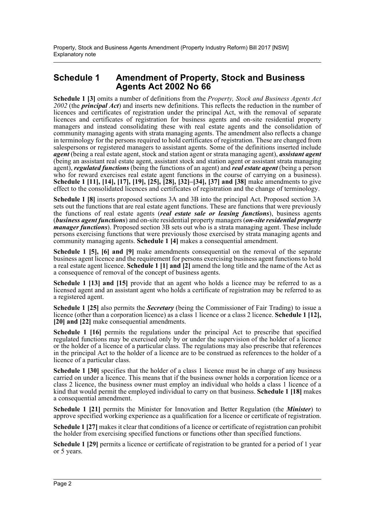### **Schedule 1 Amendment of Property, Stock and Business Agents Act 2002 No 66**

**Schedule 1 [3]** omits a number of definitions from the *Property, Stock and Business Agents Act 2002* (the *principal Act*) and inserts new definitions. This reflects the reduction in the number of licences and certificates of registration under the principal Act, with the removal of separate licences and certificates of registration for business agents and on-site residential property managers and instead consolidating these with real estate agents and the consolidation of community managing agents with strata managing agents. The amendment also reflects a change in terminology for the persons required to hold certificates of registration. These are changed from salespersons or registered managers to assistant agents. Some of the definitions inserted include *agent* (being a real estate agent, stock and station agent or strata managing agent), *assistant agent* (being an assistant real estate agent, assistant stock and station agent or assistant strata managing agent), *regulated functions* (being the functions of an agent) and *real estate agent* (being a person who for reward exercises real estate agent functions in the course of carrying on a business). **Schedule 1 [11], [14], [17], [19], [25], [28], [32]–[34], [37] and [38]** make amendments to give effect to the consolidated licences and certificates of registration and the change of terminology.

**Schedule 1 [8]** inserts proposed sections 3A and 3B into the principal Act. Proposed section 3A sets out the functions that are real estate agent functions. These are functions that were previously the functions of real estate agents (*real estate sale or leasing functions*), business agents (*business agent functions*) and on-site residential property managers (*on-site residential property manager functions*). Proposed section 3B sets out who is a strata managing agent. These include persons exercising functions that were previously those exercised by strata managing agents and community managing agents. **Schedule 1 [4]** makes a consequential amendment.

**Schedule 1 [5], [6] and [9]** make amendments consequential on the removal of the separate business agent licence and the requirement for persons exercising business agent functions to hold a real estate agent licence. **Schedule 1 [1] and [2]** amend the long title and the name of the Act as a consequence of removal of the concept of business agents.

**Schedule 1 [13] and [15]** provide that an agent who holds a licence may be referred to as a licensed agent and an assistant agent who holds a certificate of registration may be referred to as a registered agent.

**Schedule 1 [25]** also permits the *Secretary* (being the Commissioner of Fair Trading) to issue a licence (other than a corporation licence) as a class 1 licence or a class 2 licence. **Schedule 1 [12], [20] and [22]** make consequential amendments.

**Schedule 1 [16]** permits the regulations under the principal Act to prescribe that specified regulated functions may be exercised only by or under the supervision of the holder of a licence or the holder of a licence of a particular class. The regulations may also prescribe that references in the principal Act to the holder of a licence are to be construed as references to the holder of a licence of a particular class.

**Schedule 1 [30]** specifies that the holder of a class 1 licence must be in charge of any business carried on under a licence. This means that if the business owner holds a corporation licence or a class 2 licence, the business owner must employ an individual who holds a class 1 licence of a kind that would permit the employed individual to carry on that business. **Schedule 1 [18]** makes a consequential amendment.

**Schedule 1 [21]** permits the Minister for Innovation and Better Regulation (the *Minister*) to approve specified working experience as a qualification for a licence or certificate of registration.

**Schedule 1 [27]** makes it clear that conditions of a licence or certificate of registration can prohibit the holder from exercising specified functions or functions other than specified functions.

**Schedule 1 [29]** permits a licence or certificate of registration to be granted for a period of 1 year or 5 years.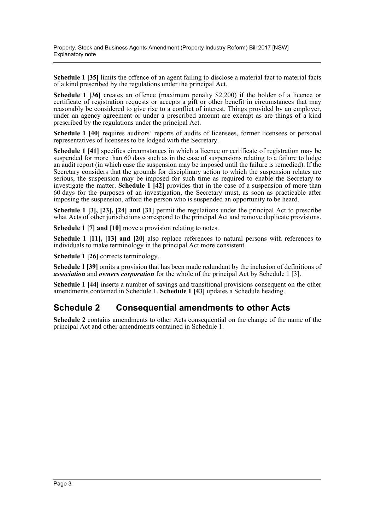Property, Stock and Business Agents Amendment (Property Industry Reform) Bill 2017 [NSW] Explanatory note

**Schedule 1 [35]** limits the offence of an agent failing to disclose a material fact to material facts of a kind prescribed by the regulations under the principal Act.

**Schedule 1 [36]** creates an offence (maximum penalty \$2,200) if the holder of a licence or certificate of registration requests or accepts a gift or other benefit in circumstances that may reasonably be considered to give rise to a conflict of interest. Things provided by an employer, under an agency agreement or under a prescribed amount are exempt as are things of a kind prescribed by the regulations under the principal Act.

Schedule 1 [40] requires auditors' reports of audits of licensees, former licensees or personal representatives of licensees to be lodged with the Secretary.

**Schedule 1 [41]** specifies circumstances in which a licence or certificate of registration may be suspended for more than 60 days such as in the case of suspensions relating to a failure to lodge an audit report (in which case the suspension may be imposed until the failure is remedied). If the Secretary considers that the grounds for disciplinary action to which the suspension relates are serious, the suspension may be imposed for such time as required to enable the Secretary to investigate the matter. **Schedule 1 [42]** provides that in the case of a suspension of more than 60 days for the purposes of an investigation, the Secretary must, as soon as practicable after imposing the suspension, afford the person who is suspended an opportunity to be heard.

**Schedule 1 [3], [23], [24] and [31]** permit the regulations under the principal Act to prescribe what Acts of other jurisdictions correspond to the principal Act and remove duplicate provisions.

**Schedule 1 [7] and [10]** move a provision relating to notes.

**Schedule 1 [11], [13] and [20]** also replace references to natural persons with references to individuals to make terminology in the principal Act more consistent.

**Schedule 1 [26]** corrects terminology.

**Schedule 1 [39]** omits a provision that has been made redundant by the inclusion of definitions of *association* and *owners corporation* for the whole of the principal Act by Schedule 1 [3].

**Schedule 1 [44]** inserts a number of savings and transitional provisions consequent on the other amendments contained in Schedule 1. **Schedule 1 [43]** updates a Schedule heading.

### **Schedule 2 Consequential amendments to other Acts**

**Schedule 2** contains amendments to other Acts consequential on the change of the name of the principal Act and other amendments contained in Schedule 1.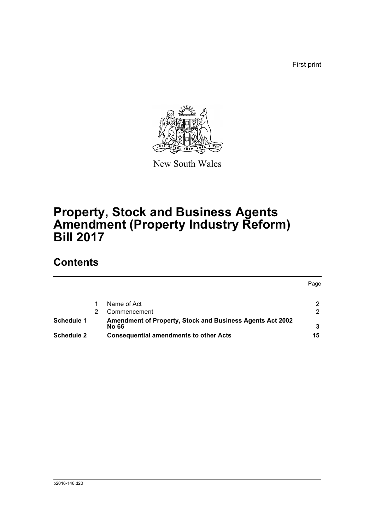First print



New South Wales

# **Property, Stock and Business Agents Amendment (Property Industry Reform) Bill 2017**

## **Contents**

|                   |                                                                  | Page |
|-------------------|------------------------------------------------------------------|------|
|                   |                                                                  |      |
|                   | Name of Act                                                      |      |
|                   | Commencement                                                     | ◠    |
| Schedule 1        | <b>Amendment of Property, Stock and Business Agents Act 2002</b> |      |
|                   | No 66                                                            |      |
| <b>Schedule 2</b> | <b>Consequential amendments to other Acts</b>                    | 15   |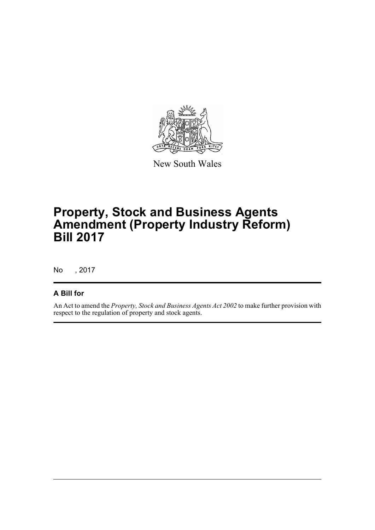

New South Wales

## **Property, Stock and Business Agents Amendment (Property Industry Reform) Bill 2017**

No , 2017

### **A Bill for**

An Act to amend the *Property, Stock and Business Agents Act 2002* to make further provision with respect to the regulation of property and stock agents.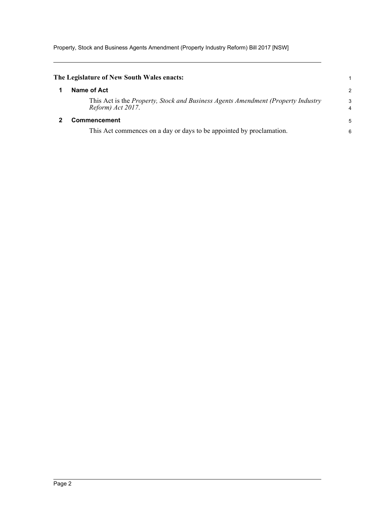Property, Stock and Business Agents Amendment (Property Industry Reform) Bill 2017 [NSW]

<span id="page-5-1"></span><span id="page-5-0"></span>

| The Legislature of New South Wales enacts:                                                                   |        |
|--------------------------------------------------------------------------------------------------------------|--------|
| Name of Act                                                                                                  | 2      |
| This Act is the <i>Property, Stock and Business Agents Amendment (Property Industry</i><br>Reform) Act 2017. | 3<br>4 |
| <b>Commencement</b>                                                                                          | 5      |
| This Act commences on a day or days to be appointed by proclamation.                                         | 6      |
|                                                                                                              |        |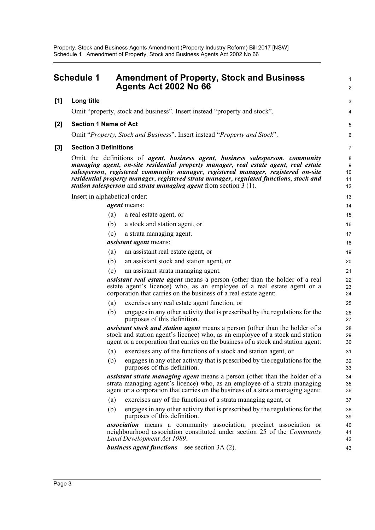<span id="page-6-0"></span>

|     | Schedule 1                   | <b>Amendment of Property, Stock and Business</b><br><b>Agents Act 2002 No 66</b>                                                                                                                                                                                                                                                                                                                                                                             |                          |  |
|-----|------------------------------|--------------------------------------------------------------------------------------------------------------------------------------------------------------------------------------------------------------------------------------------------------------------------------------------------------------------------------------------------------------------------------------------------------------------------------------------------------------|--------------------------|--|
| [1] | Long title                   |                                                                                                                                                                                                                                                                                                                                                                                                                                                              | 3                        |  |
|     |                              | Omit "property, stock and business". Insert instead "property and stock".                                                                                                                                                                                                                                                                                                                                                                                    | 4                        |  |
| [2] | <b>Section 1 Name of Act</b> |                                                                                                                                                                                                                                                                                                                                                                                                                                                              | 5                        |  |
|     |                              | Omit "Property, Stock and Business". Insert instead "Property and Stock".                                                                                                                                                                                                                                                                                                                                                                                    | 6                        |  |
|     |                              |                                                                                                                                                                                                                                                                                                                                                                                                                                                              |                          |  |
| [3] | <b>Section 3 Definitions</b> |                                                                                                                                                                                                                                                                                                                                                                                                                                                              | 7                        |  |
|     |                              | Omit the definitions of <i>agent</i> , <i>business agent</i> , <i>business salesperson</i> , <i>community</i><br>managing agent, on-site residential property manager, real estate agent, real estate<br>salesperson, registered community manager, registered manager, registered on-site<br>residential property manager, registered strata manager, regulated functions, stock and<br>station salesperson and strata managing agent from section $3(1)$ . | 8<br>9<br>10<br>11<br>12 |  |
|     |                              | Insert in alphabetical order:                                                                                                                                                                                                                                                                                                                                                                                                                                | 13                       |  |
|     |                              | <i>agent</i> means:                                                                                                                                                                                                                                                                                                                                                                                                                                          | 14                       |  |
|     |                              | a real estate agent, or<br>(a)                                                                                                                                                                                                                                                                                                                                                                                                                               | 15                       |  |
|     |                              | (b)<br>a stock and station agent, or                                                                                                                                                                                                                                                                                                                                                                                                                         | 16                       |  |
|     |                              | a strata managing agent.<br>(c)                                                                                                                                                                                                                                                                                                                                                                                                                              | 17                       |  |
|     |                              | <i>assistant agent</i> means:                                                                                                                                                                                                                                                                                                                                                                                                                                | 18                       |  |
|     |                              | an assistant real estate agent, or<br>(a)                                                                                                                                                                                                                                                                                                                                                                                                                    | 19                       |  |
|     |                              | (b)<br>an assistant stock and station agent, or                                                                                                                                                                                                                                                                                                                                                                                                              | 20                       |  |
|     |                              | (c)<br>an assistant strata managing agent.                                                                                                                                                                                                                                                                                                                                                                                                                   | 21                       |  |
|     |                              | assistant real estate agent means a person (other than the holder of a real<br>estate agent's licence) who, as an employee of a real estate agent or a<br>corporation that carries on the business of a real estate agent:                                                                                                                                                                                                                                   | 22<br>23<br>24           |  |
|     |                              | exercises any real estate agent function, or<br>(a)                                                                                                                                                                                                                                                                                                                                                                                                          | 25                       |  |
|     |                              | engages in any other activity that is prescribed by the regulations for the<br>(b)<br>purposes of this definition.                                                                                                                                                                                                                                                                                                                                           | 26<br>27                 |  |
|     |                              | <i>assistant stock and station agent</i> means a person (other than the holder of a<br>stock and station agent's licence) who, as an employee of a stock and station<br>agent or a corporation that carries on the business of a stock and station agent:                                                                                                                                                                                                    | 28<br>29<br>30           |  |
|     |                              | exercises any of the functions of a stock and station agent, or<br>(a)                                                                                                                                                                                                                                                                                                                                                                                       | 31                       |  |
|     |                              | (b)<br>engages in any other activity that is prescribed by the regulations for the<br>purposes of this definition.                                                                                                                                                                                                                                                                                                                                           | 32<br>33                 |  |
|     |                              | <i>assistant strata managing agent</i> means a person (other than the holder of a<br>strata managing agent's licence) who, as an employee of a strata managing<br>agent or a corporation that carries on the business of a strata managing agent:                                                                                                                                                                                                            | 34<br>35<br>36           |  |
|     |                              | exercises any of the functions of a strata managing agent, or<br>(a)                                                                                                                                                                                                                                                                                                                                                                                         | 37                       |  |
|     |                              | (b)<br>engages in any other activity that is prescribed by the regulations for the<br>purposes of this definition.                                                                                                                                                                                                                                                                                                                                           | 38<br>39                 |  |
|     |                              | association means a community association, precinct association or<br>neighbourhood association constituted under section 25 of the Community<br>Land Development Act 1989.                                                                                                                                                                                                                                                                                  | 40<br>41<br>42           |  |
|     |                              | <b>business agent functions</b> —see section 3A (2).                                                                                                                                                                                                                                                                                                                                                                                                         | 43                       |  |
|     |                              |                                                                                                                                                                                                                                                                                                                                                                                                                                                              |                          |  |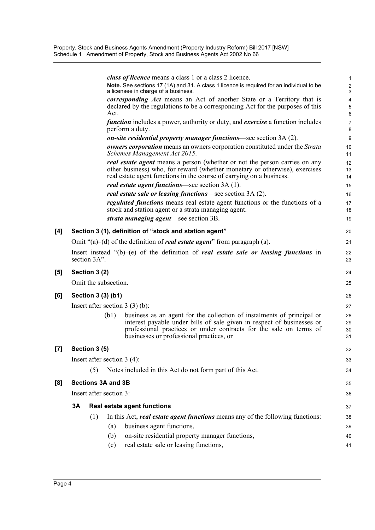|                                                                                                                                                                                                                                                                                                                                                                                                                                                                                                        |    |                           | <i>class of licence</i> means a class 1 or a class 2 licence.                                                                                                                                                                                                      | $\mathbf{1}$                     |
|--------------------------------------------------------------------------------------------------------------------------------------------------------------------------------------------------------------------------------------------------------------------------------------------------------------------------------------------------------------------------------------------------------------------------------------------------------------------------------------------------------|----|---------------------------|--------------------------------------------------------------------------------------------------------------------------------------------------------------------------------------------------------------------------------------------------------------------|----------------------------------|
|                                                                                                                                                                                                                                                                                                                                                                                                                                                                                                        |    |                           | Note. See sections 17 (1A) and 31. A class 1 licence is required for an individual to be<br>a licensee in charge of a business.                                                                                                                                    | $\boldsymbol{2}$<br>$\mathbf{3}$ |
|                                                                                                                                                                                                                                                                                                                                                                                                                                                                                                        |    |                           | corresponding Act means an Act of another State or a Territory that is<br>declared by the regulations to be a corresponding Act for the purposes of this<br>Act.                                                                                                   | 4<br>5<br>6                      |
|                                                                                                                                                                                                                                                                                                                                                                                                                                                                                                        |    |                           | <i>function</i> includes a power, authority or duty, and <i>exercise</i> a function includes<br>perform a duty.                                                                                                                                                    | $\overline{7}$<br>8              |
|                                                                                                                                                                                                                                                                                                                                                                                                                                                                                                        |    |                           | on-site residential property manager functions-see section 3A (2).                                                                                                                                                                                                 | 9                                |
|                                                                                                                                                                                                                                                                                                                                                                                                                                                                                                        |    |                           | <b><i>owners corporation</i></b> means an owners corporation constituted under the <i>Strata</i><br>Schemes Management Act 2015.                                                                                                                                   | 10<br>11                         |
|                                                                                                                                                                                                                                                                                                                                                                                                                                                                                                        |    |                           | <i>real estate agent</i> means a person (whether or not the person carries on any<br>other business) who, for reward (whether monetary or otherwise), exercises<br>real estate agent functions in the course of carrying on a business.                            | 12<br>13<br>14                   |
|                                                                                                                                                                                                                                                                                                                                                                                                                                                                                                        |    |                           | real estate agent functions-see section 3A (1).                                                                                                                                                                                                                    | 15                               |
|                                                                                                                                                                                                                                                                                                                                                                                                                                                                                                        |    |                           | real estate sale or leasing functions—see section 3A (2).                                                                                                                                                                                                          | 16                               |
|                                                                                                                                                                                                                                                                                                                                                                                                                                                                                                        |    |                           | regulated functions means real estate agent functions or the functions of a<br>stock and station agent or a strata managing agent.                                                                                                                                 | 17<br>18                         |
|                                                                                                                                                                                                                                                                                                                                                                                                                                                                                                        |    |                           | strata managing agent—see section 3B.                                                                                                                                                                                                                              | 19                               |
| [4]                                                                                                                                                                                                                                                                                                                                                                                                                                                                                                    |    |                           | Section 3 (1), definition of "stock and station agent"                                                                                                                                                                                                             | 20                               |
|                                                                                                                                                                                                                                                                                                                                                                                                                                                                                                        |    |                           | Omit " $(a)$ - $(d)$ of the definition of <i>real estate agent</i> " from paragraph (a).                                                                                                                                                                           | 21                               |
|                                                                                                                                                                                                                                                                                                                                                                                                                                                                                                        |    | section 3A".              | Insert instead "(b)-(e) of the definition of <i>real estate sale or leasing functions</i> in                                                                                                                                                                       | 22<br>23                         |
| [5]                                                                                                                                                                                                                                                                                                                                                                                                                                                                                                    |    | Section 3 (2)             |                                                                                                                                                                                                                                                                    | 24                               |
|                                                                                                                                                                                                                                                                                                                                                                                                                                                                                                        |    | Omit the subsection.      |                                                                                                                                                                                                                                                                    | 25                               |
| [6]                                                                                                                                                                                                                                                                                                                                                                                                                                                                                                    |    | Section 3 (3) (b1)        |                                                                                                                                                                                                                                                                    | 26                               |
|                                                                                                                                                                                                                                                                                                                                                                                                                                                                                                        |    |                           | Insert after section $3(3)(b)$ :                                                                                                                                                                                                                                   | 27                               |
|                                                                                                                                                                                                                                                                                                                                                                                                                                                                                                        |    | (b1)                      | business as an agent for the collection of instalments of principal or<br>interest payable under bills of sale given in respect of businesses or<br>professional practices or under contracts for the sale on terms of<br>businesses or professional practices, or | 28<br>29<br>30<br>31             |
| $[7] \centering% \includegraphics[width=1\textwidth]{images/TransY.pdf} \caption{The first two different values of $d=3$ and $d=4$ (left) and $d=5$ (right) and $d=6$ (right) and $d=6$ (right) and $d=6$ (right) and $d=6$ (right) and $d=6$ (right) and $d=6$ (right) and $d=6$ (right) and $d=6$ (right) and $d=6$ (right) and $d=6$ (right) and $d=6$ (right) and $d=6$ (right) and $d=6$ (right) and $d=6$ (right) and $d=6$ (right) and $d=6$ (right) and $d=6$ (right) and $d=6$ (right) and $$ |    | Section 3 (5)             |                                                                                                                                                                                                                                                                    | 32                               |
|                                                                                                                                                                                                                                                                                                                                                                                                                                                                                                        |    |                           | Insert after section $3(4)$ :                                                                                                                                                                                                                                      | 33                               |
|                                                                                                                                                                                                                                                                                                                                                                                                                                                                                                        |    | (5)                       | Notes included in this Act do not form part of this Act.                                                                                                                                                                                                           | 34                               |
| [8]                                                                                                                                                                                                                                                                                                                                                                                                                                                                                                    |    | <b>Sections 3A and 3B</b> |                                                                                                                                                                                                                                                                    | 35                               |
|                                                                                                                                                                                                                                                                                                                                                                                                                                                                                                        |    | Insert after section 3:   |                                                                                                                                                                                                                                                                    | 36                               |
|                                                                                                                                                                                                                                                                                                                                                                                                                                                                                                        | 3A |                           | <b>Real estate agent functions</b>                                                                                                                                                                                                                                 | 37                               |
|                                                                                                                                                                                                                                                                                                                                                                                                                                                                                                        |    | (1)                       | In this Act, real estate agent functions means any of the following functions:                                                                                                                                                                                     | 38                               |
|                                                                                                                                                                                                                                                                                                                                                                                                                                                                                                        |    | (a)                       | business agent functions,                                                                                                                                                                                                                                          | 39                               |
|                                                                                                                                                                                                                                                                                                                                                                                                                                                                                                        |    | (b)                       | on-site residential property manager functions,                                                                                                                                                                                                                    | 40                               |
|                                                                                                                                                                                                                                                                                                                                                                                                                                                                                                        |    | (c)                       | real estate sale or leasing functions,                                                                                                                                                                                                                             | 41                               |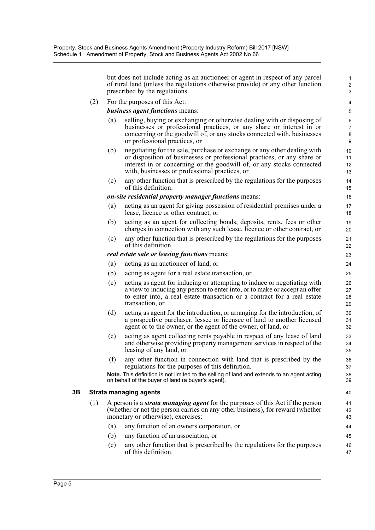but does not include acting as an auctioneer or agent in respect of any parcel of rural land (unless the regulations otherwise provide) or any other function prescribed by the regulations. 3

2 1

8 7

12 11

28 27

31

34

42

(2) For the purposes of this Act: 4

*business agent functions* means: 5

- (a) selling, buying or exchanging or otherwise dealing with or disposing of 6 businesses or professional practices, or any share or interest in or concerning or the goodwill of, or any stocks connected with, businesses or professional practices, or 9
- (b) negotiating for the sale, purchase or exchange or any other dealing with 10 or disposition of businesses or professional practices, or any share or interest in or concerning or the goodwill of, or any stocks connected with, businesses or professional practices, or 13
- (c) any other function that is prescribed by the regulations for the purposes 14 of this definition. 15

#### *on-site residential property manager functions* means: 16

- (a) acting as an agent for giving possession of residential premises under a 17 lease, licence or other contract, or 18
- (b) acting as an agent for collecting bonds, deposits, rents, fees or other 19 charges in connection with any such lease, licence or other contract, or 20
- (c) any other function that is prescribed by the regulations for the purposes 21 of this definition. 22

#### *real estate sale or leasing functions* means: 23

- (a) acting as an auctioneer of land, or 24
- (b) acting as agent for a real estate transaction, or 25
- (c) acting as agent for inducing or attempting to induce or negotiating with 26 a view to inducing any person to enter into, or to make or accept an offer to enter into, a real estate transaction or a contract for a real estate transaction, or 29
- (d) acting as agent for the introduction, or arranging for the introduction, of 30 a prospective purchaser, lessee or licensee of land to another licensed agent or to the owner, or the agent of the owner, of land, or 32
- (e) acting as agent collecting rents payable in respect of any lease of land 33 and otherwise providing property management services in respect of the leasing of any land, or 35
- (f) any other function in connection with land that is prescribed by the 36 regulations for the purposes of this definition. 37
- **Note.** This definition is not limited to the selling of land and extends to an agent acting 38 on behalf of the buyer of land (a buyer's agent). 39

#### **3B Strata managing agents** 40

- (1) A person is a *strata managing agent* for the purposes of this Act if the person 41 (whether or not the person carries on any other business), for reward (whether monetary or otherwise), exercises: 43
	- (a) any function of an owners corporation, or 44
	- (b) any function of an association, or 45
	- (c) any other function that is prescribed by the regulations for the purposes 46 of this definition. 47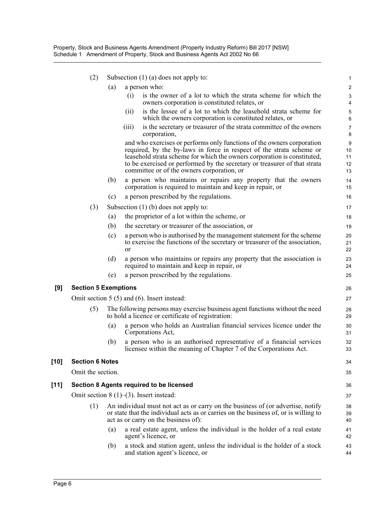|        | (2)                         |     | Subsection $(1)$ (a) does not apply to:                                                                                                                                                                                                                                                                                                               | 1                         |
|--------|-----------------------------|-----|-------------------------------------------------------------------------------------------------------------------------------------------------------------------------------------------------------------------------------------------------------------------------------------------------------------------------------------------------------|---------------------------|
|        |                             | (a) | a person who:                                                                                                                                                                                                                                                                                                                                         | $\overline{2}$            |
|        |                             |     | is the owner of a lot to which the strata scheme for which the<br>(i)<br>owners corporation is constituted relates, or                                                                                                                                                                                                                                | 3<br>4                    |
|        |                             |     | is the lessee of a lot to which the leasehold strata scheme for<br>(i)<br>which the owners corporation is constituted relates, or                                                                                                                                                                                                                     | 5<br>$\,6\,$              |
|        |                             |     | is the secretary or treasurer of the strata committee of the owners<br>(111)<br>corporation,                                                                                                                                                                                                                                                          | $\overline{7}$<br>8       |
|        |                             |     | and who exercises or performs only functions of the owners corporation<br>required, by the by-laws in force in respect of the strata scheme or<br>leasehold strata scheme for which the owners corporation is constituted,<br>to be exercised or performed by the secretary or treasurer of that strata<br>committee or of the owners corporation, or | 9<br>10<br>11<br>12<br>13 |
|        |                             | (b) | a person who maintains or repairs any property that the owners<br>corporation is required to maintain and keep in repair, or                                                                                                                                                                                                                          | 14<br>15                  |
|        |                             | (c) | a person prescribed by the regulations.                                                                                                                                                                                                                                                                                                               | 16                        |
|        | (3)                         |     | Subsection $(1)$ (b) does not apply to:                                                                                                                                                                                                                                                                                                               | 17                        |
|        |                             | (a) | the proprietor of a lot within the scheme, or                                                                                                                                                                                                                                                                                                         | 18                        |
|        |                             | (b) | the secretary or treasurer of the association, or                                                                                                                                                                                                                                                                                                     | 19                        |
|        |                             | (c) | a person who is authorised by the management statement for the scheme<br>to exercise the functions of the secretary or treasurer of the association,<br><b>or</b>                                                                                                                                                                                     | 20<br>21<br>22            |
|        |                             | (d) | a person who maintains or repairs any property that the association is<br>required to maintain and keep in repair, or                                                                                                                                                                                                                                 | 23<br>24                  |
|        |                             | (e) | a person prescribed by the regulations.                                                                                                                                                                                                                                                                                                               | 25                        |
| [9]    | <b>Section 5 Exemptions</b> |     |                                                                                                                                                                                                                                                                                                                                                       | 26                        |
|        |                             |     | Omit section $5(5)$ and $(6)$ . Insert instead:                                                                                                                                                                                                                                                                                                       | 27                        |
|        | (5)                         |     | The following persons may exercise business agent functions without the need<br>to hold a licence or certificate of registration:                                                                                                                                                                                                                     | 28<br>29                  |
|        |                             | (a) | a person who holds an Australian financial services licence under the<br>Corporations Act,                                                                                                                                                                                                                                                            | 30<br>31                  |
|        |                             | (b) | a person who is an authorised representative of a financial services<br>licensee within the meaning of Chapter 7 of the Corporations Act.                                                                                                                                                                                                             | 32<br>33                  |
| $[10]$ | <b>Section 6 Notes</b>      |     |                                                                                                                                                                                                                                                                                                                                                       | 34                        |
|        | Omit the section.           |     |                                                                                                                                                                                                                                                                                                                                                       | 35                        |
| $[11]$ |                             |     | Section 8 Agents required to be licensed                                                                                                                                                                                                                                                                                                              | 36                        |
|        |                             |     | Omit section $8(1)$ – $(3)$ . Insert instead:                                                                                                                                                                                                                                                                                                         | 37                        |
|        | (1)                         |     | An individual must not act as or carry on the business of (or advertise, notify<br>or state that the individual acts as or carries on the business of, or is willing to<br>act as or carry on the business of):                                                                                                                                       | 38<br>39<br>40            |
|        |                             | (a) | a real estate agent, unless the individual is the holder of a real estate<br>agent's licence, or                                                                                                                                                                                                                                                      | 41<br>42                  |
|        |                             | (b) | a stock and station agent, unless the individual is the holder of a stock<br>and station agent's licence, or                                                                                                                                                                                                                                          | 43<br>44                  |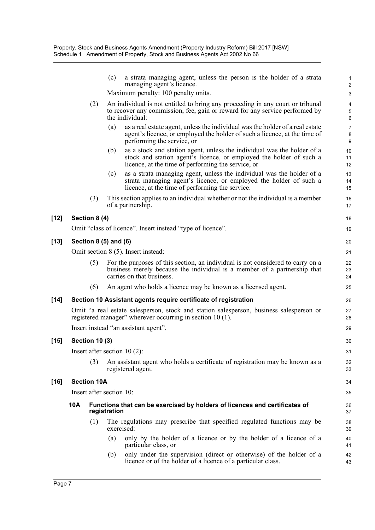|        |     |                          | (c)          | a strata managing agent, unless the person is the holder of a strata<br>managing agent's licence.                                                                                                    | $\mathbf{1}$<br>$\boldsymbol{2}$                  |
|--------|-----|--------------------------|--------------|------------------------------------------------------------------------------------------------------------------------------------------------------------------------------------------------------|---------------------------------------------------|
|        |     |                          |              | Maximum penalty: 100 penalty units.                                                                                                                                                                  | 3                                                 |
|        |     | (2)                      |              | An individual is not entitled to bring any proceeding in any court or tribunal<br>to recover any commission, fee, gain or reward for any service performed by<br>the individual:                     | $\overline{\mathbf{4}}$<br>$\mathbf 5$<br>$\,6\,$ |
|        |     |                          | (a)          | as a real estate agent, unless the individual was the holder of a real estate<br>agent's licence, or employed the holder of such a licence, at the time of<br>performing the service, or             | $\overline{7}$<br>$\bf 8$<br>9                    |
|        |     |                          | (b)          | as a stock and station agent, unless the individual was the holder of a<br>stock and station agent's licence, or employed the holder of such a<br>licence, at the time of performing the service, or | 10<br>11<br>12                                    |
|        |     |                          | (c)          | as a strata managing agent, unless the individual was the holder of a<br>strata managing agent's licence, or employed the holder of such a<br>licence, at the time of performing the service.        | 13<br>14<br>15                                    |
|        |     | (3)                      |              | This section applies to an individual whether or not the individual is a member<br>of a partnership.                                                                                                 | 16<br>17                                          |
| [12]   |     | Section 8 (4)            |              |                                                                                                                                                                                                      | 18                                                |
|        |     |                          |              | Omit "class of licence". Insert instead "type of licence".                                                                                                                                           | 19                                                |
| [13]   |     | Section 8 (5) and (6)    |              |                                                                                                                                                                                                      | 20                                                |
|        |     |                          |              | Omit section 8 (5). Insert instead:                                                                                                                                                                  | 21                                                |
|        |     | (5)                      |              | For the purposes of this section, an individual is not considered to carry on a<br>business merely because the individual is a member of a partnership that<br>carries on that business.             | 22<br>23<br>24                                    |
|        |     | (6)                      |              | An agent who holds a licence may be known as a licensed agent.                                                                                                                                       | 25                                                |
| $[14]$ |     |                          |              | Section 10 Assistant agents require certificate of registration                                                                                                                                      | 26                                                |
|        |     |                          |              | Omit "a real estate salesperson, stock and station salesperson, business salesperson or<br>registered manager" wherever occurring in section 10 (1).                                                 | 27<br>28                                          |
|        |     |                          |              | Insert instead "an assistant agent".                                                                                                                                                                 | 29                                                |
| [15]   |     | <b>Section 10 (3)</b>    |              |                                                                                                                                                                                                      | 30                                                |
|        |     |                          |              | Insert after section $10(2)$ :                                                                                                                                                                       | 31                                                |
|        |     | (3)                      |              | An assistant agent who holds a certificate of registration may be known as a<br>registered agent.                                                                                                    | 32<br>33                                          |
| [16]   |     | <b>Section 10A</b>       |              |                                                                                                                                                                                                      | 34                                                |
|        |     | Insert after section 10: |              |                                                                                                                                                                                                      | 35                                                |
|        | 10A |                          | registration | Functions that can be exercised by holders of licences and certificates of                                                                                                                           | 36<br>37                                          |
|        |     | (1)                      |              | The regulations may prescribe that specified regulated functions may be<br>exercised:                                                                                                                | 38<br>39                                          |
|        |     |                          | (a)          | only by the holder of a licence or by the holder of a licence of a<br>particular class, or                                                                                                           | 40<br>41                                          |
|        |     |                          | (b)          | only under the supervision (direct or otherwise) of the holder of a<br>licence or of the holder of a licence of a particular class.                                                                  | 42<br>43                                          |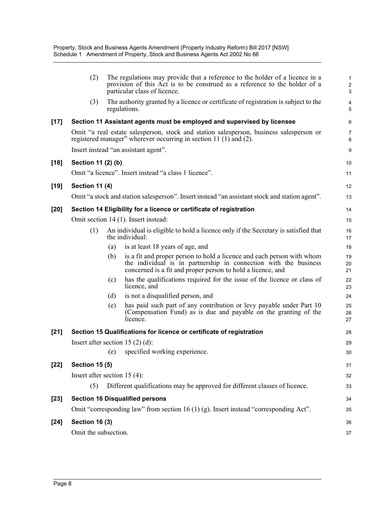|        |                                 |     | The regulations may provide that a reference to the holder of a licence in a                                                                                                                              |                                   |
|--------|---------------------------------|-----|-----------------------------------------------------------------------------------------------------------------------------------------------------------------------------------------------------------|-----------------------------------|
|        | (2)                             |     | provision of this Act is to be construed as a reference to the holder of a<br>particular class of licence.                                                                                                | 1<br>$\overline{\mathbf{c}}$<br>3 |
|        | (3)                             |     | The authority granted by a licence or certificate of registration is subject to the<br>regulations.                                                                                                       | 4<br>5                            |
| $[17]$ |                                 |     | Section 11 Assistant agents must be employed and supervised by licensee                                                                                                                                   | 6                                 |
|        |                                 |     | Omit "a real estate salesperson, stock and station salesperson, business salesperson or<br>registered manager" wherever occurring in section 11 (1) and (2).                                              | 7<br>8                            |
|        |                                 |     | Insert instead "an assistant agent".                                                                                                                                                                      | 9                                 |
| $[18]$ | Section 11 (2) (b)              |     |                                                                                                                                                                                                           | 10                                |
|        |                                 |     | Omit "a licence". Insert instead "a class 1 licence".                                                                                                                                                     | 11                                |
| $[19]$ | <b>Section 11 (4)</b>           |     |                                                                                                                                                                                                           | 12                                |
|        |                                 |     | Omit "a stock and station salesperson". Insert instead "an assistant stock and station agent".                                                                                                            | 13                                |
| $[20]$ |                                 |     | Section 14 Eligibility for a licence or certificate of registration                                                                                                                                       | 14                                |
|        |                                 |     | Omit section 14 (1). Insert instead:                                                                                                                                                                      | 15                                |
|        | (1)                             |     | An individual is eligible to hold a licence only if the Secretary is satisfied that<br>the individual:                                                                                                    | 16<br>17                          |
|        |                                 | (a) | is at least 18 years of age, and                                                                                                                                                                          | 18                                |
|        |                                 | (b) | is a fit and proper person to hold a licence and each person with whom<br>the individual is in partnership in connection with the business<br>concerned is a fit and proper person to hold a licence, and | 19<br>20<br>21                    |
|        |                                 | (c) | has the qualifications required for the issue of the licence or class of<br>licence, and                                                                                                                  | 22<br>23                          |
|        |                                 | (d) | is not a disqualified person, and                                                                                                                                                                         | 24                                |
|        |                                 | (e) | has paid such part of any contribution or levy payable under Part 10<br>(Compensation Fund) as is due and payable on the granting of the<br>licence.                                                      | 25<br>26<br>27                    |
| $[21]$ |                                 |     | Section 15 Qualifications for licence or certificate of registration                                                                                                                                      | 28                                |
|        |                                 |     | Insert after section 15 $(2)$ $(d)$ :                                                                                                                                                                     | 29                                |
|        |                                 |     | (e) specified working experience.                                                                                                                                                                         | 30                                |
| $[22]$ | <b>Section 15 (5)</b>           |     |                                                                                                                                                                                                           | 31                                |
|        | Insert after section 15 $(4)$ : |     |                                                                                                                                                                                                           | 32                                |
|        | (5)                             |     | Different qualifications may be approved for different classes of licence.                                                                                                                                | 33                                |
| $[23]$ |                                 |     | <b>Section 16 Disqualified persons</b>                                                                                                                                                                    | 34                                |
|        |                                 |     | Omit "corresponding law" from section 16 (1) (g). Insert instead "corresponding Act".                                                                                                                     | 35                                |
| $[24]$ | <b>Section 16 (3)</b>           |     |                                                                                                                                                                                                           | 36                                |
|        | Omit the subsection.            |     |                                                                                                                                                                                                           | 37                                |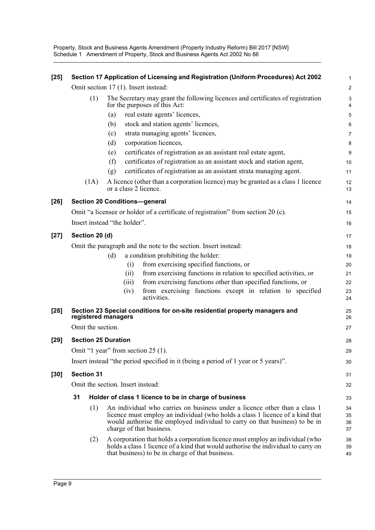Property, Stock and Business Agents Amendment (Property Industry Reform) Bill 2017 [NSW] Schedule 1 Amendment of Property, Stock and Business Agents Act 2002 No 66

| $[25]$ |                                                                                                                          |                              |     |       | Section 17 Application of Licensing and Registration (Uniform Procedures) Act 2002                                                                                                                                                                                     | 1                    |  |
|--------|--------------------------------------------------------------------------------------------------------------------------|------------------------------|-----|-------|------------------------------------------------------------------------------------------------------------------------------------------------------------------------------------------------------------------------------------------------------------------------|----------------------|--|
|        |                                                                                                                          |                              |     |       | Omit section 17 (1). Insert instead:                                                                                                                                                                                                                                   | $\overline{2}$       |  |
|        |                                                                                                                          | (1)                          |     |       | The Secretary may grant the following licences and certificates of registration<br>for the purposes of this Act:                                                                                                                                                       | 3<br>4               |  |
|        |                                                                                                                          |                              | (a) |       | real estate agents' licences,                                                                                                                                                                                                                                          | 5                    |  |
|        |                                                                                                                          |                              | (b) |       | stock and station agents' licences,                                                                                                                                                                                                                                    | 6                    |  |
|        |                                                                                                                          |                              | (c) |       | strata managing agents' licences,                                                                                                                                                                                                                                      | $\overline{7}$       |  |
|        |                                                                                                                          |                              | (d) |       | corporation licences,                                                                                                                                                                                                                                                  | 8                    |  |
|        |                                                                                                                          |                              | (e) |       | certificates of registration as an assistant real estate agent,                                                                                                                                                                                                        | 9                    |  |
|        |                                                                                                                          |                              | (f) |       | certificates of registration as an assistant stock and station agent,                                                                                                                                                                                                  | 10                   |  |
|        |                                                                                                                          |                              | (g) |       | certificates of registration as an assistant strata managing agent.                                                                                                                                                                                                    | 11                   |  |
|        |                                                                                                                          | (1A)                         |     |       | A licence (other than a corporation licence) may be granted as a class 1 licence<br>or a class 2 licence.                                                                                                                                                              | 12<br>13             |  |
| $[26]$ |                                                                                                                          |                              |     |       | <b>Section 20 Conditions-general</b>                                                                                                                                                                                                                                   | 14                   |  |
|        |                                                                                                                          |                              |     |       | Omit "a licensee or holder of a certificate of registration" from section 20 (c).                                                                                                                                                                                      | 15                   |  |
|        |                                                                                                                          | Insert instead "the holder". |     |       |                                                                                                                                                                                                                                                                        | 16                   |  |
| $[27]$ |                                                                                                                          | Section 20 (d)               |     |       |                                                                                                                                                                                                                                                                        | 17                   |  |
|        | Omit the paragraph and the note to the section. Insert instead:                                                          |                              |     |       |                                                                                                                                                                                                                                                                        |                      |  |
|        |                                                                                                                          |                              | (d) |       | a condition prohibiting the holder:                                                                                                                                                                                                                                    | 19                   |  |
|        |                                                                                                                          |                              |     | (i)   | from exercising specified functions, or                                                                                                                                                                                                                                | 20                   |  |
|        |                                                                                                                          |                              |     | (ii)  | from exercising functions in relation to specified activities, or                                                                                                                                                                                                      | 21                   |  |
|        |                                                                                                                          |                              |     | (iii) | from exercising functions other than specified functions, or                                                                                                                                                                                                           | 22                   |  |
|        |                                                                                                                          |                              |     | (iv)  | from exercising functions except in relation to specified<br>activities.                                                                                                                                                                                               | 23<br>24             |  |
| $[28]$ |                                                                                                                          | registered managers          |     |       | Section 23 Special conditions for on-site residential property managers and                                                                                                                                                                                            | 25<br>26             |  |
|        |                                                                                                                          | Omit the section.            |     |       |                                                                                                                                                                                                                                                                        | 27                   |  |
| $[29]$ |                                                                                                                          | <b>Section 25 Duration</b>   |     |       |                                                                                                                                                                                                                                                                        | 28                   |  |
|        |                                                                                                                          |                              |     |       |                                                                                                                                                                                                                                                                        | 29                   |  |
|        | Omit "1 year" from section 25 (1).<br>Insert instead "the period specified in it (being a period of 1 year or 5 years)". |                              |     |       |                                                                                                                                                                                                                                                                        |                      |  |
| $[30]$ |                                                                                                                          | <b>Section 31</b>            |     |       |                                                                                                                                                                                                                                                                        | 31                   |  |
|        |                                                                                                                          |                              |     |       | Omit the section. Insert instead:                                                                                                                                                                                                                                      | 32                   |  |
|        | 31                                                                                                                       |                              |     |       | Holder of class 1 licence to be in charge of business                                                                                                                                                                                                                  | 33                   |  |
|        |                                                                                                                          | (1)                          |     |       | An individual who carries on business under a licence other than a class 1<br>licence must employ an individual (who holds a class 1 licence of a kind that<br>would authorise the employed individual to carry on that business) to be in<br>charge of that business. | 34<br>35<br>36<br>37 |  |
|        |                                                                                                                          | (2)                          |     |       | A corporation that holds a corporation licence must employ an individual (who<br>holds a class 1 licence of a kind that would authorise the individual to carry on<br>that business) to be in charge of that business.                                                 | 38<br>39<br>40       |  |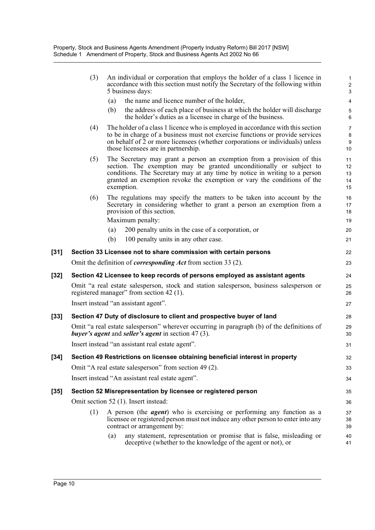|      | (3) |            | An individual or corporation that employs the holder of a class 1 licence in<br>accordance with this section must notify the Secretary of the following within<br>5 business days:                                                                                                                     | $\mathbf{1}$<br>$\overline{2}$<br>3 |
|------|-----|------------|--------------------------------------------------------------------------------------------------------------------------------------------------------------------------------------------------------------------------------------------------------------------------------------------------------|-------------------------------------|
|      |     | (a)        | the name and licence number of the holder,                                                                                                                                                                                                                                                             | $\overline{\mathbf{4}}$             |
|      |     | (b)        | the address of each place of business at which the holder will discharge<br>the holder's duties as a licensee in charge of the business.                                                                                                                                                               | $\,$ 5 $\,$<br>6                    |
|      | (4) |            | The holder of a class 1 licence who is employed in accordance with this section<br>to be in charge of a business must not exercise functions or provide services<br>on behalf of 2 or more licensees (whether corporations or individuals) unless<br>those licensees are in partnership.               | $\overline{7}$<br>8<br>9<br>10      |
|      | (5) | exemption. | The Secretary may grant a person an exemption from a provision of this<br>section. The exemption may be granted unconditionally or subject to<br>conditions. The Secretary may at any time by notice in writing to a person<br>granted an exemption revoke the exemption or vary the conditions of the | 11<br>12<br>13<br>14<br>15          |
|      | (6) |            | The regulations may specify the matters to be taken into account by the<br>Secretary in considering whether to grant a person an exemption from a<br>provision of this section.                                                                                                                        | 16<br>17<br>18                      |
|      |     |            | Maximum penalty:                                                                                                                                                                                                                                                                                       | 19                                  |
|      |     | (a)<br>(b) | 200 penalty units in the case of a corporation, or<br>100 penalty units in any other case.                                                                                                                                                                                                             | 20                                  |
|      |     |            |                                                                                                                                                                                                                                                                                                        | 21                                  |
| [31] |     |            | Section 33 Licensee not to share commission with certain persons                                                                                                                                                                                                                                       | 22                                  |
|      |     |            | Omit the definition of <i>corresponding Act</i> from section 33 (2).                                                                                                                                                                                                                                   | 23                                  |
| [32] |     |            | Section 42 Licensee to keep records of persons employed as assistant agents                                                                                                                                                                                                                            | 24                                  |
|      |     |            | Omit "a real estate salesperson, stock and station salesperson, business salesperson or<br>registered manager" from section 42 (1).                                                                                                                                                                    | 25<br>26                            |
|      |     |            | Insert instead "an assistant agent".                                                                                                                                                                                                                                                                   | 27                                  |
| [33] |     |            | Section 47 Duty of disclosure to client and prospective buyer of land                                                                                                                                                                                                                                  | 28                                  |
|      |     |            | Omit "a real estate salesperson" wherever occurring in paragraph (b) of the definitions of<br><i>buyer's agent and seller's agent in section 47 (3).</i>                                                                                                                                               | 29<br>30                            |
|      |     |            | Insert instead "an assistant real estate agent".                                                                                                                                                                                                                                                       | 31                                  |
| [34] |     |            | Section 49 Restrictions on licensee obtaining beneficial interest in property                                                                                                                                                                                                                          | 32                                  |
|      |     |            | Omit "A real estate salesperson" from section 49 (2).                                                                                                                                                                                                                                                  | 33                                  |
|      |     |            | Insert instead "An assistant real estate agent".                                                                                                                                                                                                                                                       | 34                                  |
| [35] |     |            | Section 52 Misrepresentation by licensee or registered person                                                                                                                                                                                                                                          | 35                                  |
|      |     |            | Omit section 52 (1). Insert instead:                                                                                                                                                                                                                                                                   | 36                                  |
|      | (1) |            | A person (the <i>agent</i> ) who is exercising or performing any function as a<br>licensee or registered person must not induce any other person to enter into any<br>contract or arrangement by:                                                                                                      | 37<br>38<br>39                      |
|      |     | (a)        | any statement, representation or promise that is false, misleading or<br>deceptive (whether to the knowledge of the agent or not), or                                                                                                                                                                  | 40<br>41                            |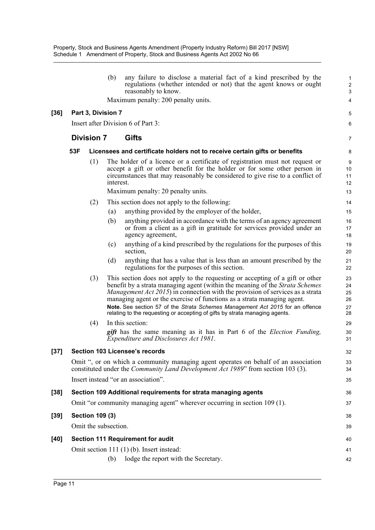|        |     |                        | (b)       | any failure to disclose a material fact of a kind prescribed by the<br>regulations (whether intended or not) that the agent knows or ought<br>reasonably to know.                                                                                                                                                                                                                                                                                                                         | 1<br>$\overline{\mathbf{c}}$<br>3 |
|--------|-----|------------------------|-----------|-------------------------------------------------------------------------------------------------------------------------------------------------------------------------------------------------------------------------------------------------------------------------------------------------------------------------------------------------------------------------------------------------------------------------------------------------------------------------------------------|-----------------------------------|
|        |     |                        |           | Maximum penalty: 200 penalty units.                                                                                                                                                                                                                                                                                                                                                                                                                                                       | 4                                 |
| $[36]$ |     | Part 3, Division 7     |           |                                                                                                                                                                                                                                                                                                                                                                                                                                                                                           | 5                                 |
|        |     |                        |           | Insert after Division 6 of Part 3:                                                                                                                                                                                                                                                                                                                                                                                                                                                        | 6                                 |
|        |     | <b>Division 7</b>      |           | Gifts                                                                                                                                                                                                                                                                                                                                                                                                                                                                                     | 7                                 |
|        | 53F |                        |           | Licensees and certificate holders not to receive certain gifts or benefits                                                                                                                                                                                                                                                                                                                                                                                                                | 8                                 |
|        |     | (1)                    | interest. | The holder of a licence or a certificate of registration must not request or<br>accept a gift or other benefit for the holder or for some other person in<br>circumstances that may reasonably be considered to give rise to a conflict of                                                                                                                                                                                                                                                | 9<br>10<br>11<br>12               |
|        |     |                        |           | Maximum penalty: 20 penalty units.                                                                                                                                                                                                                                                                                                                                                                                                                                                        | 13                                |
|        |     | (2)                    |           | This section does not apply to the following:                                                                                                                                                                                                                                                                                                                                                                                                                                             | 14                                |
|        |     |                        | (a)       | anything provided by the employer of the holder,                                                                                                                                                                                                                                                                                                                                                                                                                                          | 15                                |
|        |     |                        | (b)       | anything provided in accordance with the terms of an agency agreement<br>or from a client as a gift in gratitude for services provided under an<br>agency agreement,                                                                                                                                                                                                                                                                                                                      | 16<br>17<br>18                    |
|        |     |                        | (c)       | anything of a kind prescribed by the regulations for the purposes of this<br>section,                                                                                                                                                                                                                                                                                                                                                                                                     | 19<br>20                          |
|        |     |                        | (d)       | anything that has a value that is less than an amount prescribed by the<br>regulations for the purposes of this section.                                                                                                                                                                                                                                                                                                                                                                  | 21<br>22                          |
|        |     | (3)                    |           | This section does not apply to the requesting or accepting of a gift or other<br>benefit by a strata managing agent (within the meaning of the Strata Schemes<br>Management Act 2015) in connection with the provision of services as a strata<br>managing agent or the exercise of functions as a strata managing agent.<br>Note. See section 57 of the Strata Schemes Management Act 2015 for an offence<br>relating to the requesting or accepting of gifts by strata managing agents. | 23<br>24<br>25<br>26<br>27<br>28  |
|        |     | (4)                    |           | In this section:                                                                                                                                                                                                                                                                                                                                                                                                                                                                          | 29                                |
|        |     |                        |           | <i>gift</i> has the same meaning as it has in Part 6 of the <i>Election Funding</i> ,<br>Expenditure and Disclosures Act 1981.                                                                                                                                                                                                                                                                                                                                                            | 30<br>31                          |
| [37]   |     |                        |           | <b>Section 103 Licensee's records</b>                                                                                                                                                                                                                                                                                                                                                                                                                                                     | 32                                |
|        |     |                        |           | Omit ", or on which a community managing agent operates on behalf of an association<br>constituted under the <i>Community Land Development Act 1989</i> " from section 103 (3).                                                                                                                                                                                                                                                                                                           | 33<br>34                          |
|        |     |                        |           | Insert instead "or an association".                                                                                                                                                                                                                                                                                                                                                                                                                                                       | 35                                |
| $[38]$ |     |                        |           | Section 109 Additional requirements for strata managing agents                                                                                                                                                                                                                                                                                                                                                                                                                            | 36                                |
|        |     |                        |           | Omit "or community managing agent" wherever occurring in section 109 (1).                                                                                                                                                                                                                                                                                                                                                                                                                 | 37                                |
| $[39]$ |     | <b>Section 109 (3)</b> |           |                                                                                                                                                                                                                                                                                                                                                                                                                                                                                           | 38                                |
|        |     | Omit the subsection.   |           |                                                                                                                                                                                                                                                                                                                                                                                                                                                                                           | 39                                |
| $[40]$ |     |                        |           | Section 111 Requirement for audit                                                                                                                                                                                                                                                                                                                                                                                                                                                         | 40                                |
|        |     |                        |           | Omit section 111 (1) (b). Insert instead:                                                                                                                                                                                                                                                                                                                                                                                                                                                 | 41                                |
|        |     |                        | (b)       | lodge the report with the Secretary.                                                                                                                                                                                                                                                                                                                                                                                                                                                      | 42                                |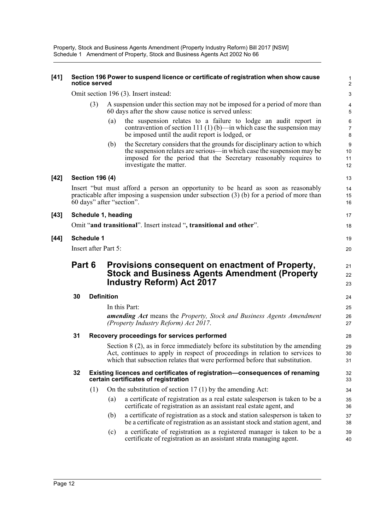Property, Stock and Business Agents Amendment (Property Industry Reform) Bill 2017 [NSW] Schedule 1 Amendment of Property, Stock and Business Agents Act 2002 No 66

#### **[41] Section 196 Power to suspend licence or certificate of registration when show cause** 1 **notice served** 2

Omit section 196 (3). Insert instead: 3

- A suspension under this section may not be imposed for a period of more than 4 60 days after the show cause notice is served unless: 5
	- (a) the suspension relates to a failure to lodge an audit report in 6 contravention of section 111 (1) (b)—in which case the suspension may be imposed until the audit report is lodged, or 8

7

11 10

15

30

(b) the Secretary considers that the grounds for disciplinary action to which 9 the suspension relates are serious—in which case the suspension may be imposed for the period that the Secretary reasonably requires to investigate the matter. 12

#### **[42] Section 196 (4)** 13

Insert "but must afford a person an opportunity to be heard as soon as reasonably 14 practicable after imposing a suspension under subsection (3) (b) for a period of more than 60 days" after "section". 16

#### **[43] Schedule 1, heading** 17

Omit "**and transitional**". Insert instead "**, transitional and other**". 18

#### **[44] Schedule 1** 19

Insert after Part 5: 20

### **Part 6 Provisions consequent on enactment of Property,**  $_{21}$ **Stock and Business Agents Amendment (Property** 22 **Industry Reform) Act 2017** 23

#### **30 Definition** 24

In this Part: 25

*amending Act* means the *Property, Stock and Business Agents Amendment* 26 *(Property Industry Reform) Act 2017*. 27

#### **31 Recovery proceedings for services performed** 28

Section 8 (2), as in force immediately before its substitution by the amending 29 Act, continues to apply in respect of proceedings in relation to services to which that subsection relates that were performed before that substitution.  $\frac{31}{2}$ 

#### **32 Existing licences and certificates of registration—consequences of renaming** 32 **certain certificates of registration** 33

- (1) On the substitution of section 17 (1) by the amending Act: 34
	- (a) a certificate of registration as a real estate salesperson is taken to be a 35 certificate of registration as an assistant real estate agent, and 36
	- (b) a certificate of registration as a stock and station salesperson is taken to 37 be a certificate of registration as an assistant stock and station agent, and 38
	- (c) a certificate of registration as a registered manager is taken to be a 39 certificate of registration as an assistant strata managing agent. 40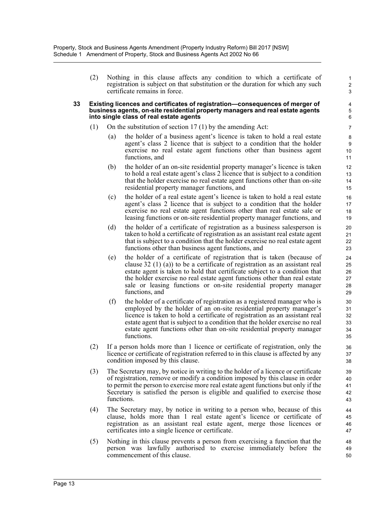(2) Nothing in this clause affects any condition to which a certificate of 1 registration is subject on that substitution or the duration for which any such certificate remains in force. 3

2

10 9

14 13

18 17

22 21

37

42 41 40

46 45

49

#### **33 Existing licences and certificates of registration—consequences of merger of** 4 **business agents, on-site residential property managers and real estate agents** 5 **into single class of real estate agents** 6 **6**

- (1) On the substitution of section 17 (1) by the amending Act: 7
	- (a) the holder of a business agent's licence is taken to hold a real estate 8 agent's class 2 licence that is subject to a condition that the holder exercise no real estate agent functions other than business agent functions, and 11
	- (b) the holder of an on-site residential property manager's licence is taken 12 to hold a real estate agent's class 2 licence that is subject to a condition that the holder exercise no real estate agent functions other than on-site residential property manager functions, and 15
	- (c) the holder of a real estate agent's licence is taken to hold a real estate 16 agent's class 2 licence that is subject to a condition that the holder exercise no real estate agent functions other than real estate sale or leasing functions or on-site residential property manager functions, and 19
	- (d) the holder of a certificate of registration as a business salesperson is 20 taken to hold a certificate of registration as an assistant real estate agent that is subject to a condition that the holder exercise no real estate agent functions other than business agent functions, and 23
	- (e) the holder of a certificate of registration that is taken (because of 24 clause 32 (1) (a)) to be a certificate of registration as an assistant real estate agent is taken to hold that certificate subject to a condition that the holder exercise no real estate agent functions other than real estate sale or leasing functions or on-site residential property manager functions, and 29
	- (f) the holder of a certificate of registration as a registered manager who is  $\qquad \qquad$  30 employed by the holder of an on-site residential property manager's licence is taken to hold a certificate of registration as an assistant real estate agent that is subject to a condition that the holder exercise no real estate agent functions other than on-site residential property manager functions. 35
- (2) If a person holds more than 1 licence or certificate of registration, only the 36 licence or certificate of registration referred to in this clause is affected by any condition imposed by this clause. 38
- (3) The Secretary may, by notice in writing to the holder of a licence or certificate 39 of registration, remove or modify a condition imposed by this clause in order to permit the person to exercise more real estate agent functions but only if the Secretary is satisfied the person is eligible and qualified to exercise those functions. 43
- (4) The Secretary may, by notice in writing to a person who, because of this 44 clause, holds more than 1 real estate agent's licence or certificate of registration as an assistant real estate agent, merge those licences or certificates into a single licence or certificate. 47
- (5) Nothing in this clause prevents a person from exercising a function that the 48 person was lawfully authorised to exercise immediately before the commencement of this clause. 50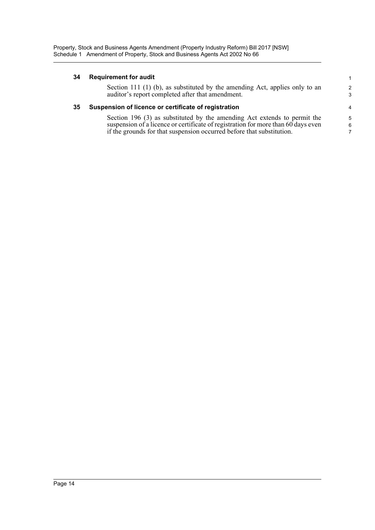#### **34 Requirement for audit** 1

Section 111 (1) (b), as substituted by the amending Act, applies only to an 2 auditor's report completed after that amendment. 3

#### **35 Suspension of licence or certificate of registration** 4

Section 196 (3) as substituted by the amending Act extends to permit the 5 suspension of a licence or certificate of registration for more than 60 days even if the grounds for that suspension occurred before that substitution. 7

6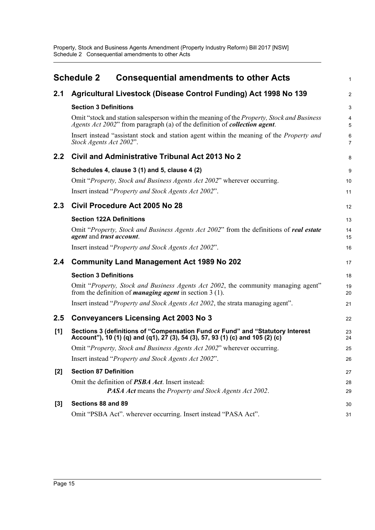<span id="page-18-0"></span>

|       | <b>Schedule 2</b>               | <b>Consequential amendments to other Acts</b>                                                                                                                                    | 1                   |
|-------|---------------------------------|----------------------------------------------------------------------------------------------------------------------------------------------------------------------------------|---------------------|
| 2.1   |                                 | Agricultural Livestock (Disease Control Funding) Act 1998 No 139                                                                                                                 | $\overline{a}$      |
|       | <b>Section 3 Definitions</b>    |                                                                                                                                                                                  | 3                   |
|       |                                 | Omit "stock and station salesperson within the meaning of the Property, Stock and Business<br>Agents Act 2002" from paragraph (a) of the definition of <b>collection agent</b> . | 4<br>5              |
|       | Stock Agents Act 2002".         | Insert instead "assistant stock and station agent within the meaning of the <i>Property and</i>                                                                                  | 6<br>$\overline{7}$ |
| 2.2   |                                 | Civil and Administrative Tribunal Act 2013 No 2                                                                                                                                  | 8                   |
|       |                                 | Schedules 4, clause 3 (1) and 5, clause 4 (2)                                                                                                                                    | 9                   |
|       |                                 | Omit "Property, Stock and Business Agents Act 2002" wherever occurring.                                                                                                          | 10                  |
|       |                                 | Insert instead " <i>Property and Stock Agents Act 2002</i> ".                                                                                                                    | 11                  |
| 2.3   |                                 | Civil Procedure Act 2005 No 28                                                                                                                                                   | 12                  |
|       | <b>Section 122A Definitions</b> |                                                                                                                                                                                  | 13                  |
|       | agent and trust account.        | Omit "Property, Stock and Business Agents Act 2002" from the definitions of real estate                                                                                          | 14<br>15            |
|       |                                 | Insert instead "Property and Stock Agents Act 2002".                                                                                                                             | 16                  |
| 2.4   |                                 | <b>Community Land Management Act 1989 No 202</b>                                                                                                                                 | 17                  |
|       | <b>Section 3 Definitions</b>    |                                                                                                                                                                                  | 18                  |
|       |                                 | Omit "Property, Stock and Business Agents Act 2002, the community managing agent"<br>from the definition of <i>managing agent</i> in section $3(1)$ .                            | 19<br>20            |
|       |                                 | Insert instead "Property and Stock Agents Act 2002, the strata managing agent".                                                                                                  | 21                  |
| 2.5   |                                 | <b>Conveyancers Licensing Act 2003 No 3</b>                                                                                                                                      | 22                  |
| [1]   |                                 | Sections 3 (definitions of "Compensation Fund or Fund" and "Statutory Interest<br>Account"), 10 (1) (q) and (q1), 27 (3), 54 (3), 57, 93 (1) (c) and 105 (2) (c)                 | 23<br>24            |
|       |                                 | Omit "Property, Stock and Business Agents Act 2002" wherever occurring.                                                                                                          | 25                  |
|       |                                 | Insert instead "Property and Stock Agents Act 2002".                                                                                                                             | 26                  |
| $[2]$ | <b>Section 87 Definition</b>    |                                                                                                                                                                                  | 27                  |
|       |                                 | Omit the definition of PSBA Act. Insert instead:                                                                                                                                 | 28                  |
|       |                                 | PASA Act means the Property and Stock Agents Act 2002.                                                                                                                           | 29                  |
| $[3]$ | Sections 88 and 89              |                                                                                                                                                                                  | 30                  |
|       |                                 | Omit "PSBA Act". wherever occurring. Insert instead "PASA Act".                                                                                                                  | 31                  |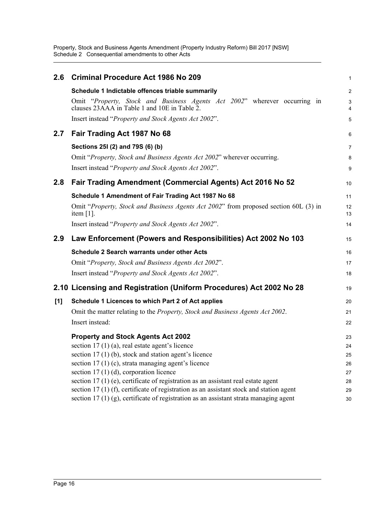Property, Stock and Business Agents Amendment (Property Industry Reform) Bill 2017 [NSW] Schedule 2 Consequential amendments to other Acts

| 2.6 | <b>Criminal Procedure Act 1986 No 209</b>                                                                                 | 1              |
|-----|---------------------------------------------------------------------------------------------------------------------------|----------------|
|     | Schedule 1 Indictable offences triable summarily                                                                          | $\overline{a}$ |
|     | Omit "Property, Stock and Business Agents Act 2002" wherever occurring in<br>clauses 23AAA in Table 1 and 10E in Table 2. | 3<br>4         |
|     | Insert instead " <i>Property and Stock Agents Act 2002</i> ".                                                             | 5              |
| 2.7 | Fair Trading Act 1987 No 68                                                                                               | 6              |
|     | Sections 25I (2) and 79S (6) (b)                                                                                          | 7              |
|     | Omit "Property, Stock and Business Agents Act 2002" wherever occurring.                                                   | 8              |
|     | Insert instead "Property and Stock Agents Act 2002".                                                                      | 9              |
| 2.8 | Fair Trading Amendment (Commercial Agents) Act 2016 No 52                                                                 | 10             |
|     | Schedule 1 Amendment of Fair Trading Act 1987 No 68                                                                       | 11             |
|     | Omit "Property, Stock and Business Agents Act 2002" from proposed section 60L (3) in<br>item $[1]$ .                      | 12<br>13       |
|     | Insert instead "Property and Stock Agents Act 2002".                                                                      | 14             |
| 2.9 | Law Enforcement (Powers and Responsibilities) Act 2002 No 103                                                             | 15             |
|     | <b>Schedule 2 Search warrants under other Acts</b>                                                                        | 16             |
|     | Omit "Property, Stock and Business Agents Act 2002".                                                                      | 17             |
|     | Insert instead "Property and Stock Agents Act 2002".                                                                      | 18             |
|     | 2.10 Licensing and Registration (Uniform Procedures) Act 2002 No 28                                                       | 19             |
| [1] | Schedule 1 Licences to which Part 2 of Act applies                                                                        | 20             |
|     | Omit the matter relating to the Property, Stock and Business Agents Act 2002.                                             | 21             |
|     | Insert instead:                                                                                                           | 22             |
|     | <b>Property and Stock Agents Act 2002</b>                                                                                 | 23             |
|     | section $17(1)(a)$ , real estate agent's licence                                                                          | 24             |
|     | section 17 (1) (b), stock and station agent's licence                                                                     | 25             |
|     | section $17(1)(c)$ , strata managing agent's licence                                                                      | 26             |
|     | section $17(1)(d)$ , corporation licence                                                                                  | 27             |
|     | section $17(1)$ (e), certificate of registration as an assistant real estate agent                                        | 28             |
|     | section $17(1)(f)$ , certificate of registration as an assistant stock and station agent                                  | 29             |
|     | section $17(1)(g)$ , certificate of registration as an assistant strata managing agent                                    | 30             |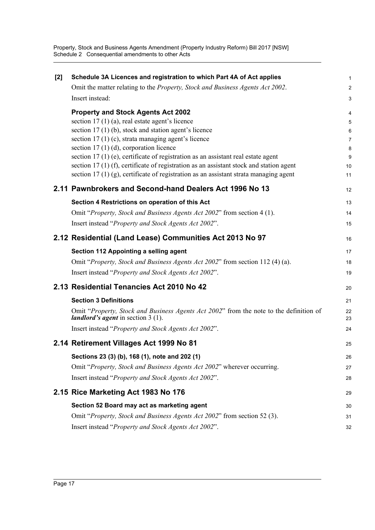Property, Stock and Business Agents Amendment (Property Industry Reform) Bill 2017 [NSW] Schedule 2 Consequential amendments to other Acts

| $[2]$ | Schedule 3A Licences and registration to which Part 4A of Act applies                                                                 | 1                       |
|-------|---------------------------------------------------------------------------------------------------------------------------------------|-------------------------|
|       | Omit the matter relating to the Property, Stock and Business Agents Act 2002.                                                         | $\overline{\mathbf{c}}$ |
|       | Insert instead:                                                                                                                       | 3                       |
|       | <b>Property and Stock Agents Act 2002</b>                                                                                             | 4                       |
|       | section $17(1)(a)$ , real estate agent's licence                                                                                      | 5                       |
|       | section $17(1)$ (b), stock and station agent's licence                                                                                | 6                       |
|       | section $17(1)(c)$ , strata managing agent's licence                                                                                  | 7                       |
|       | section $17(1)(d)$ , corporation licence<br>section 17 (1) (e), certificate of registration as an assistant real estate agent         | 8<br>9                  |
|       | section $17(1)$ (f), certificate of registration as an assistant stock and station agent                                              | 10                      |
|       | section $17(1)(g)$ , certificate of registration as an assistant strata managing agent                                                | 11                      |
|       | 2.11 Pawnbrokers and Second-hand Dealers Act 1996 No 13                                                                               | 12                      |
|       | Section 4 Restrictions on operation of this Act                                                                                       | 13                      |
|       | Omit "Property, Stock and Business Agents Act 2002" from section 4 (1).                                                               | 14                      |
|       | Insert instead "Property and Stock Agents Act 2002".                                                                                  | 15                      |
|       | 2.12 Residential (Land Lease) Communities Act 2013 No 97                                                                              | 16                      |
|       | Section 112 Appointing a selling agent                                                                                                | 17                      |
|       | Omit "Property, Stock and Business Agents Act 2002" from section 112 (4) (a).                                                         | 18                      |
|       | Insert instead "Property and Stock Agents Act 2002".                                                                                  | 19                      |
|       | 2.13 Residential Tenancies Act 2010 No 42                                                                                             | 20                      |
|       | <b>Section 3 Definitions</b>                                                                                                          | 21                      |
|       | Omit "Property, Stock and Business Agents Act 2002" from the note to the definition of<br><i>landlord's agent</i> in section $3(1)$ . | 22<br>23                |
|       | Insert instead "Property and Stock Agents Act 2002".                                                                                  | 24                      |
|       | 2.14 Retirement Villages Act 1999 No 81                                                                                               | 25                      |
|       | Sections 23 (3) (b), 168 (1), note and 202 (1)                                                                                        | 26                      |
|       | Omit "Property, Stock and Business Agents Act 2002" wherever occurring.                                                               | 27                      |
|       | Insert instead "Property and Stock Agents Act 2002".                                                                                  | 28                      |
|       | 2.15 Rice Marketing Act 1983 No 176                                                                                                   | 29                      |
|       | Section 52 Board may act as marketing agent                                                                                           | 30                      |
|       | Omit "Property, Stock and Business Agents Act 2002" from section 52 (3).                                                              | 31                      |
|       | Insert instead "Property and Stock Agents Act 2002".                                                                                  | 32                      |